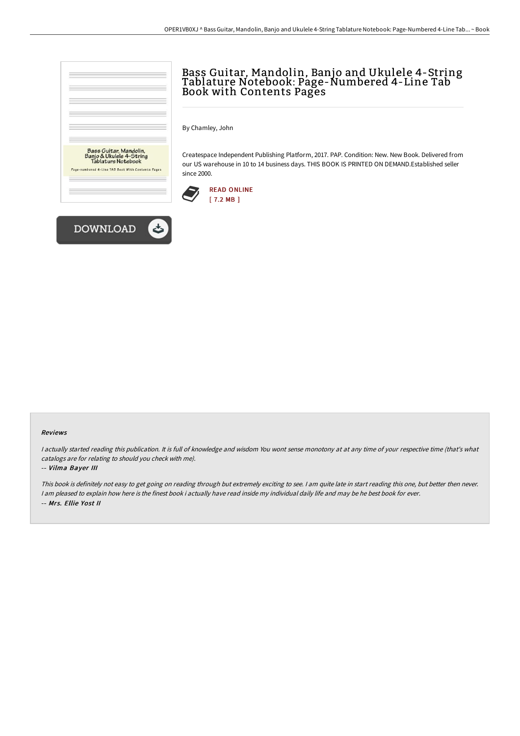

# Bass Guitar, Mandolin, Banjo and Ukulele 4-String Tablature Notebook: Page-Numbered 4-Line Tab Book with Contents Pages

By Chamley, John

Createspace Independent Publishing Platform, 2017. PAP. Condition: New. New Book. Delivered from our US warehouse in 10 to 14 business days. THIS BOOK IS PRINTED ON DEMAND.Established seller since 2000.





#### Reviews

I actually started reading this publication. It is full of knowledge and wisdom You wont sense monotony at at any time of your respective time (that's what catalogs are for relating to should you check with me).

#### -- Vilma Bayer III

This book is definitely not easy to get going on reading through but extremely exciting to see. <sup>I</sup> am quite late in start reading this one, but better then never. I am pleased to explain how here is the finest book i actually have read inside my individual daily life and may be he best book for ever. -- Mrs. Ellie Yost II